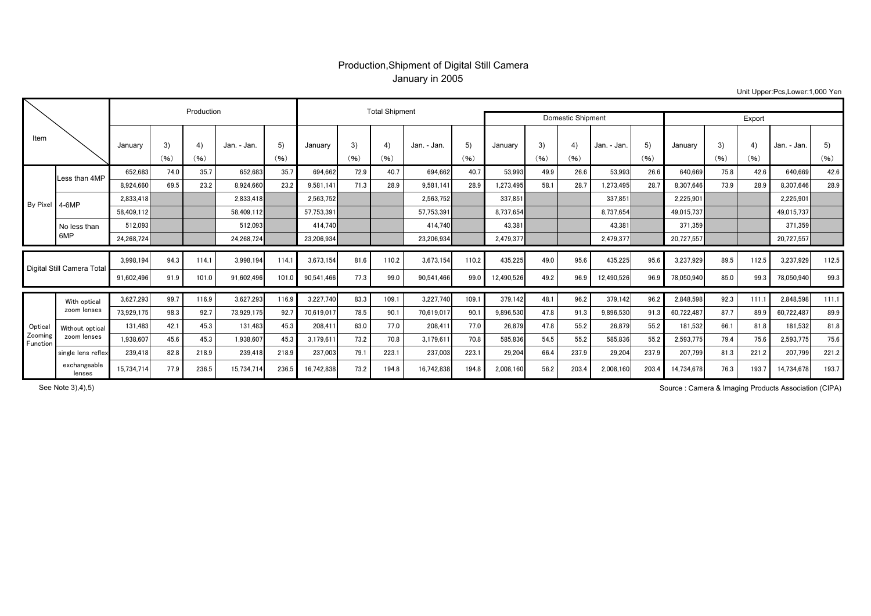## Production,Shipment of Digital Still Camera January in 2005

Unit Upper:Pcs,Lower:1,000 Yen

| Item                          |                             |            |            | Production |             |            |            | <b>Total Shipment</b> |            |             | Domestic Shipment | Export     |            |            |             |            |            |            |            |             |            |
|-------------------------------|-----------------------------|------------|------------|------------|-------------|------------|------------|-----------------------|------------|-------------|-------------------|------------|------------|------------|-------------|------------|------------|------------|------------|-------------|------------|
|                               |                             | January    | 3)<br>(96) | 4)<br>(96) | Jan. - Jan. | 5)<br>(96) | January    | 3)<br>(96)            | 4)<br>(96) | Jan. - Jan. | 5)<br>(96)        | January    | 3)<br>(96) | 4)<br>(96) | Jan. - Jan. | 5)<br>(96) | January    | 3)<br>(96) | 4)<br>(96) | Jan. - Jan. | 5)<br>(96) |
| By Pixel 4-6MP                | Less than 4MP               | 652.683    | 74.0       | 35.7       | 652.683     | 35.7       | 694.662    | 72.9                  | 40.7       | 694.662     | 40.7              | 53.993     | 49.9       | 26.6       | 53.993      | 26.6       | 640.669    | 75.8       | 42.6       | 640.669     | 42.6       |
|                               |                             | 8,924,660  | 69.5       | 23.2       | 8.924.660   | 23.2       | 9,581,141  | 71.3                  | 28.9       | 9,581,141   | 28.9              | 1,273,495  | 58.1       | 28.7       | 1,273,495   | 28.7       | 8,307,646  | 73.9       | 28.9       | 8.307.646   | 28.9       |
|                               |                             | 2.833.418  |            |            | 2.833.418   |            | 2,563,752  |                       |            | 2.563.752   |                   | 337.851    |            |            | 337.851     |            | 2,225,901  |            |            | 2,225,901   |            |
|                               |                             | 58.409.112 |            |            | 58.409.112  |            | 57,753,391 |                       |            | 57.753.391  |                   | 8.737.654  |            |            | 8.737.654   |            | 49.015.737 |            |            | 49,015,737  |            |
|                               | No less than<br>6MP         | 512,093    |            |            | 512.093     |            | 414,740    |                       |            | 414.740     |                   | 43,381     |            |            | 43,381      |            | 371,359    |            |            | 371.359     |            |
|                               |                             | 24,268,724 |            |            | 24,268,724  |            | 23,206,934 |                       |            | 23,206,934  |                   | 2.479.377  |            |            | 2,479,377   |            | 20.727.557 |            |            | 20,727,557  |            |
| Digital Still Camera Total    |                             | 3,998,194  | 94.3       | 114.1      | 3,998,194   | 114.1      | 3,673,154  | 81.6                  | 110.2      | 3,673,154   | 110.2             | 435,225    | 49.0       | 95.6       | 435,225     | 95.6       | 3,237,929  | 89.5       | 112.5      | 3,237,929   | 112.5      |
|                               |                             | 91,602,496 | 91.9       | 101.0      | 91,602,496  | 101.0      | 90,541,466 | 77.3                  | 99.0       | 90,541,466  | 99.0              | 12,490,526 | 49.2       | 96.9       | 12,490,526  | 96.9       | 78,050,940 | 85.0       | 99.3       | 78,050,940  | 99.3       |
| Optica<br>Zooming<br>Function | With optical<br>zoom lenses | 3,627,293  | 99.7       | 116.9      | 3.627.293   | 116.9      | 3,227,740  | 83.3                  | 109.1      | 3.227.740   | 109.1             | 379.142    | 48.1       | 96.2       | 379,142     | 96.2       | 2,848,598  | 92.3       | 111.1      | 2.848.598   | 111.1      |
|                               |                             | 73,929,175 | 98.3       | 92.7       | 73,929,175  | 92.7       | 70,619,01  | 78.5                  | 90.1       | 70,619,017  | 90.1              | 9,896,530  | 47.8       | 91.3       | 9,896,530   | 91.3       | 60,722,48  | 87.7       | 89.9       | 60,722,487  | 89.9       |
|                               | Without optical             | 131,483    | 42.1       | 45.3       | 131.483     | 45.3       | 208,41     | 63.0                  | 77.0       | 208,411     | 77.0              | 26,879     | 47.8       | 55.2       | 26,879      | 55.2       | 181,532    | 66.1       | 81.8       | 181,532     | 81.8       |
|                               | zoom lenses                 | 1,938,607  | 45.6       | 45.3       | 1,938,607   | 45.3       | 3,179,611  | 73.2                  | 70.8       | 3,179,611   | 70.8              | 585,836    | 54.5       | 55.2       | 585,836     | 55.2       | 2,593,775  | 79.4       | 75.6       | 2,593,775   | 75.6       |
|                               | single lens reflex          | 239.418    | 82.8       | 218.9      | 239,418     | 218.9      | 237,003    | 79.1                  | 223.1      | 237,003     | 223.1             | 29,204     | 66.4       | 237.9      | 29,204      | 237.9      | 207,799    | 81.3       | 221.2      | 207.799     | 221.2      |
|                               | exchangeable<br>lenses      | 15,734,714 | 77.9       | 236.5      | 15,734,714  | 236.5      | 16.742.838 | 73.2                  | 194.8      | 16,742,838  | 194.8             | 2,008,160  | 56.2       | 203.4      | 2,008,160   | 203.4      | 14.734.678 | 76.3       | 193.7      | 14,734,678  | 193.7      |

See Note 3),4),5)

Source : Camera & Imaging Products Association (CIPA)